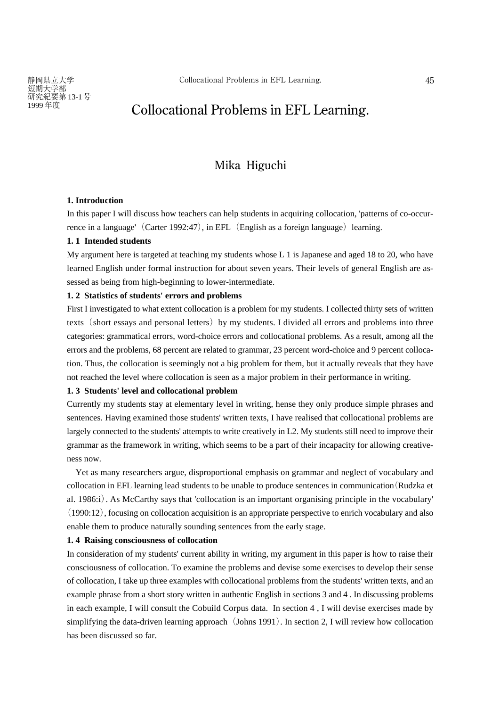# $198$  Collocational Problems in EFL Learning.

## **Mika Higuchi**

#### **1. Introduction**

In this paper I will discuss how teachers can help students in acquiring collocation, 'patterns of co-occurrence in a language'  $(Carter 1992:47)$ , in EFL  $(English as a foreign language)$  learning.

### **1. 1 Intended students**

My argument here is targeted at teaching my students whose L 1 is Japanese and aged 18 to 20, who have learned English under formal instruction for about seven years. Their levels of general English are assessed as being from high-beginning to lower-intermediate.

### **1. 2 Statistics of students' errors and problems**

First I investigated to what extent collocation is a problem for my students. I collected thirty sets of written texts (short essays and personal letters) by my students. I divided all errors and problems into three categories: grammatical errors, word-choice errors and collocational problems. As a result, among all the errors and the problems, 68 percent are related to grammar, 23 percent word-choice and 9 percent collocation. Thus, the collocation is seemingly not a big problem for them, but it actually reveals that they have not reached the level where collocation is seen as a major problem in their performance in writing.

#### **1. 3 Students' level and collocational problem**

Currently my students stay at elementary level in writing, hense they only produce simple phrases and sentences. Having examined those students' written texts, I have realised that collocational problems are largely connected to the students' attempts to write creatively in L2. My students still need to improve their grammar as the framework in writing, which seems to be a part of their incapacity for allowing creativeness now.

Yet as many researchers argue, disproportional emphasis on grammar and neglect of vocabulary and collocation in EFL learning lead students to be unable to produce sentences in communication(Rudzka et al. 1986:i). As McCarthy says that 'collocation is an important organising principle in the vocabulary' (1990:12), focusing on collocation acquisition is an appropriate perspective to enrich vocabulary and also enable them to produce naturally sounding sentences from the early stage.

#### **1. 4 Raising consciousness of collocation**

In consideration of my students' current ability in writing, my argument in this paper is how to raise their consciousness of collocation. To examine the problems and devise some exercises to develop their sense of collocation, I take up three examples with collocational problems from the students' written texts, and an example phrase from a short story written in authentic English in sections 3 and 4 . In discussing problems in each example, I will consult the Cobuild Corpus data. In section 4 , I will devise exercises made by simplifying the data-driven learning approach  $(Johns 1991)$ . In section 2, I will review how collocation has been discussed so far.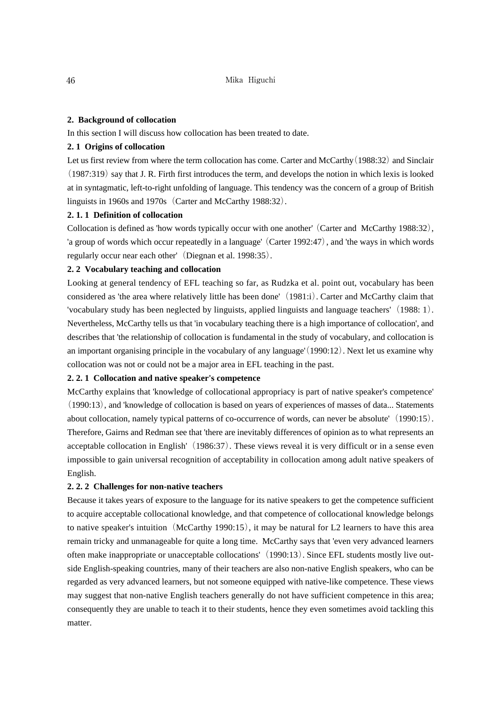### **2. Background of collocation**

In this section I will discuss how collocation has been treated to date.

### **2. 1 Origins of collocation**

Let us first review from where the term collocation has come. Carter and McCarthy (1988:32) and Sinclair (1987:319) say that J. R. Firth first introduces the term, and develops the notion in which lexis is looked at in syntagmatic, left-to-right unfolding of language. This tendency was the concern of a group of British linguists in 1960s and 1970s (Carter and McCarthy 1988:32).

### **2. 1. 1 Definition of collocation**

Collocation is defined as 'how words typically occur with one another' (Carter and McCarthy 1988:32), 'a group of words which occur repeatedly in a language' (Carter 1992:47), and 'the ways in which words regularly occur near each other' (Diegnan et al. 1998:35).

### **2. 2 Vocabulary teaching and collocation**

Looking at general tendency of EFL teaching so far, as Rudzka et al. point out, vocabulary has been considered as 'the area where relatively little has been done'(1981:i). Carter and McCarthy claim that 'vocabulary study has been neglected by linguists, applied linguists and language teachers'  $(1988: 1)$ . Nevertheless, McCarthy tells us that 'in vocabulary teaching there is a high importance of collocation', and describes that 'the relationship of collocation is fundamental in the study of vocabulary, and collocation is an important organising principle in the vocabulary of any language'(1990:12). Next let us examine why collocation was not or could not be a major area in EFL teaching in the past.

### **2. 2. 1 Collocation and native speaker's competence**

McCarthy explains that 'knowledge of collocational appropriacy is part of native speaker's competence' (1990:13), and 'knowledge of collocation is based on years of experiences of masses of data... Statements about collocation, namely typical patterns of co-occurrence of words, can never be absolute'  $(1990:15)$ . Therefore, Gairns and Redman see that 'there are inevitably differences of opinion as to what represents an acceptable collocation in English' (1986:37). These views reveal it is very difficult or in a sense even impossible to gain universal recognition of acceptability in collocation among adult native speakers of English.

### **2. 2. 2 Challenges for non-native teachers**

Because it takes years of exposure to the language for its native speakers to get the competence sufficient to acquire acceptable collocational knowledge, and that competence of collocational knowledge belongs to native speaker's intuition (McCarthy 1990:15), it may be natural for L2 learners to have this area remain tricky and unmanageable for quite a long time. McCarthy says that 'even very advanced learners often make inappropriate or unacceptable collocations'(1990:13). Since EFL students mostly live outside English-speaking countries, many of their teachers are also non-native English speakers, who can be regarded as very advanced learners, but not someone equipped with native-like competence. These views may suggest that non-native English teachers generally do not have sufficient competence in this area; consequently they are unable to teach it to their students, hence they even sometimes avoid tackling this matter.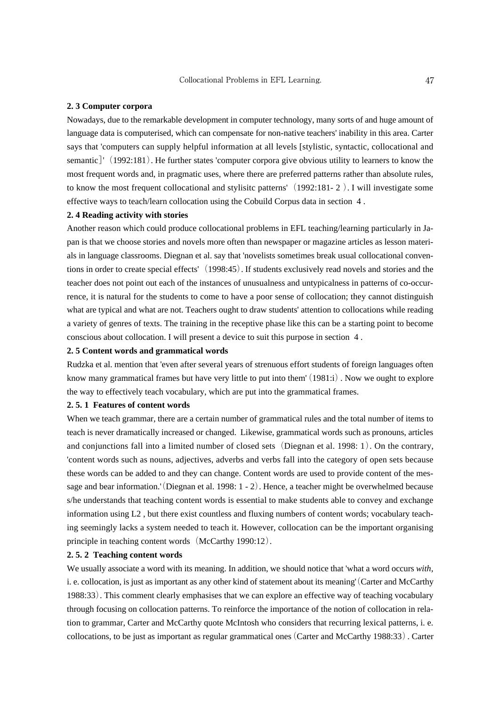### **2. 3 Computer corpora**

Nowadays, due to the remarkable development in computer technology, many sorts of and huge amount of language data is computerised, which can compensate for non-native teachers' inability in this area. Carter says that 'computers can supply helpful information at all levels [stylistic, syntactic, collocational and semantic<sup> $\vert$ </sup> (1992:181). He further states 'computer corpora give obvious utility to learners to know the most frequent words and, in pragmatic uses, where there are preferred patterns rather than absolute rules, to know the most frequent collocational and stylisitc patterns'(1992:181- 2 ). I will investigate some effective ways to teach/learn collocation using the Cobuild Corpus data in section 4 .

### **2. 4 Reading activity with stories**

Another reason which could produce collocational problems in EFL teaching/learning particularly in Japan is that we choose stories and novels more often than newspaper or magazine articles as lesson materials in language classrooms. Diegnan et al. say that 'novelists sometimes break usual collocational conventions in order to create special effects' (1998:45). If students exclusively read novels and stories and the teacher does not point out each of the instances of unusualness and untypicalness in patterns of co-occurrence, it is natural for the students to come to have a poor sense of collocation; they cannot distinguish what are typical and what are not. Teachers ought to draw students' attention to collocations while reading a variety of genres of texts. The training in the receptive phase like this can be a starting point to become conscious about collocation. I will present a device to suit this purpose in section 4 .

### **2. 5 Content words and grammatical words**

Rudzka et al. mention that 'even after several years of strenuous effort students of foreign languages often know many grammatical frames but have very little to put into them' (1981:i). Now we ought to explore the way to effectively teach vocabulary, which are put into the grammatical frames.

### **2. 5. 1 Features of content words**

When we teach grammar, there are a certain number of grammatical rules and the total number of items to teach is never dramatically increased or changed. Likewise, grammatical words such as pronouns, articles and conjunctions fall into a limited number of closed sets (Diegnan et al. 1998: 1). On the contrary, 'content words such as nouns, adjectives, adverbs and verbs fall into the category of open sets because these words can be added to and they can change. Content words are used to provide content of the message and bear information.'(Diegnan et al. 1998: 1 - 2). Hence, a teacher might be overwhelmed because s/he understands that teaching content words is essential to make students able to convey and exchange information using L2 , but there exist countless and fluxing numbers of content words; vocabulary teaching seemingly lacks a system needed to teach it. However, collocation can be the important organising principle in teaching content words (McCarthy 1990:12).

### **2. 5. 2 Teaching content words**

We usually associate a word with its meaning. In addition, we should notice that 'what a word occurs *with*, i. e. collocation, is just as important as any other kind of statement about its meaning'(Carter and McCarthy 1988:33). This comment clearly emphasises that we can explore an effective way of teaching vocabulary through focusing on collocation patterns. To reinforce the importance of the notion of collocation in relation to grammar, Carter and McCarthy quote McIntosh who considers that recurring lexical patterns, i. e. collocations, to be just as important as regular grammatical ones (Carter and McCarthy 1988:33). Carter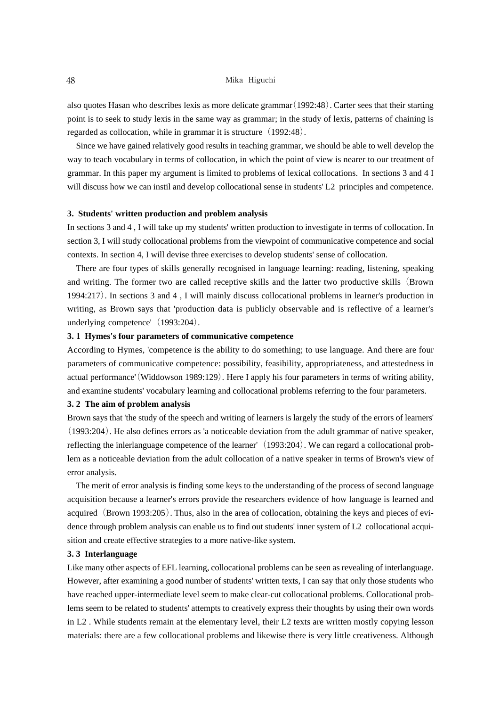#### 48 Mika Higuchi

also quotes Hasan who describes lexis as more delicate grammar(1992:48). Carter sees that their starting point is to seek to study lexis in the same way as grammar; in the study of lexis, patterns of chaining is regarded as collocation, while in grammar it is structure  $(1992:48)$ .

Since we have gained relatively good results in teaching grammar, we should be able to well develop the way to teach vocabulary in terms of collocation, in which the point of view is nearer to our treatment of grammar. In this paper my argument is limited to problems of lexical collocations. In sections 3 and 4 I will discuss how we can instil and develop collocational sense in students' L2 principles and competence.

#### **3. Students' written production and problem analysis**

In sections 3 and 4 , I will take up my students' written production to investigate in terms of collocation. In section 3, I will study collocational problems from the viewpoint of communicative competence and social contexts. In section 4, I will devise three exercises to develop students' sense of collocation.

There are four types of skills generally recognised in language learning: reading, listening, speaking and writing. The former two are called receptive skills and the latter two productive skills(Brown 1994:217). In sections 3 and 4 , I will mainly discuss collocational problems in learner's production in writing, as Brown says that 'production data is publicly observable and is reflective of a learner's underlying competence' (1993:204).

### **3. 1 Hymes's four parameters of communicative competence**

According to Hymes, 'competence is the ability to do something; to use language. And there are four parameters of communicative competence: possibility, feasibility, appropriateness, and attestedness in actual performance'(Widdowson 1989:129). Here I apply his four parameters in terms of writing ability, and examine students' vocabulary learning and collocational problems referring to the four parameters.

#### **3. 2 The aim of problem analysis**

Brown says that 'the study of the speech and writing of learners is largely the study of the errors of learners' (1993:204). He also defines errors as 'a noticeable deviation from the adult grammar of native speaker, reflecting the inlerlanguage competence of the learner'(1993:204). We can regard a collocational problem as a noticeable deviation from the adult collocation of a native speaker in terms of Brown's view of error analysis.

The merit of error analysis is finding some keys to the understanding of the process of second language acquisition because a learner's errors provide the researchers evidence of how language is learned and acquired (Brown 1993:205). Thus, also in the area of collocation, obtaining the keys and pieces of evidence through problem analysis can enable us to find out students' inner system of L2 collocational acquisition and create effective strategies to a more native-like system.

### **3. 3 Interlanguage**

Like many other aspects of EFL learning, collocational problems can be seen as revealing of interlanguage. However, after examining a good number of students' written texts, I can say that only those students who have reached upper-intermediate level seem to make clear-cut collocational problems. Collocational problems seem to be related to students' attempts to creatively express their thoughts by using their own words in L2 . While students remain at the elementary level, their L2 texts are written mostly copying lesson materials: there are a few collocational problems and likewise there is very little creativeness. Although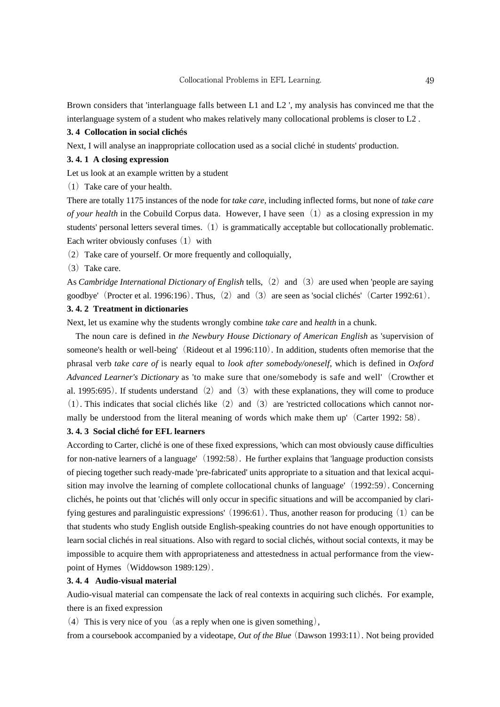Brown considers that 'interlanguage falls between L1 and L2 ', my analysis has convinced me that the interlanguage system of a student who makes relatively many collocational problems is closer to L2 .

### **3. 4 Collocation in social clich**é**s**

Next, I will analyse an inappropriate collocation used as a social cliché in students' production.

#### **3. 4. 1 A closing expression**

Let us look at an example written by a student

 $(1)$  Take care of your health.

There are totally 1175 instances of the node for *take care*, including inflected forms, but none of *take care of your health* in the Cobuild Corpus data. However, I have seen (1) as a closing expression in my students' personal letters several times.  $(1)$  is grammatically acceptable but collocationally problematic. Each writer obviously confuses  $(1)$  with

 $(2)$  Take care of yourself. Or more frequently and colloquially,

 $(3)$  Take care.

As *Cambridge International Dictionary of English* tells, (2) and (3) are used when 'people are saying goodbye' (Procter et al. 1996:196). Thus, (2) and (3) are seen as 'social clichés' (Carter 1992:61).

### **3. 4. 2 Treatment in dictionaries**

Next, let us examine why the students wrongly combine *take care* and *health* in a chunk.

The noun care is defined in *the Newbury House Dictionary of American English* as 'supervision of someone's health or well-being' (Rideout et al 1996:110). In addition, students often memorise that the phrasal verb *take care of* is nearly equal to *look after somebody/oneself*, which is defined in *Oxford Advanced Learner's Dictionary* as 'to make sure that one/somebody is safe and well'(Crowther et al. 1995:695). If students understand  $(2)$  and  $(3)$  with these explanations, they will come to produce  $(1)$ . This indicates that social clichés like  $(2)$  and  $(3)$  are 'restricted collocations which cannot normally be understood from the literal meaning of words which make them up' (Carter 1992: 58).

### **3. 4. 3 Social clich**é **for EFL learners**

According to Carter, cliché is one of these fixed expressions, 'which can most obviously cause difficulties for non-native learners of a language'(1992:58). He further explains that 'language production consists of piecing together such ready-made 'pre-fabricated' units appropriate to a situation and that lexical acquisition may involve the learning of complete collocational chunks of language' (1992:59). Concerning clichés, he points out that 'clichés will only occur in specific situations and will be accompanied by clarifying gestures and paralinguistic expressions'  $(1996:61)$ . Thus, another reason for producing  $(1)$  can be that students who study English outside English-speaking countries do not have enough opportunities to learn social clichés in real situations. Also with regard to social clichés, without social contexts, it may be impossible to acquire them with appropriateness and attestedness in actual performance from the viewpoint of Hymes (Widdowson 1989:129).

### **3. 4. 4 Audio-visual material**

Audio-visual material can compensate the lack of real contexts in acquiring such clichés. For example, there is an fixed expression

(4) This is very nice of you (as a reply when one is given something),

from a coursebook accompanied by a videotape, *Out of the Blue*(Dawson 1993:11). Not being provided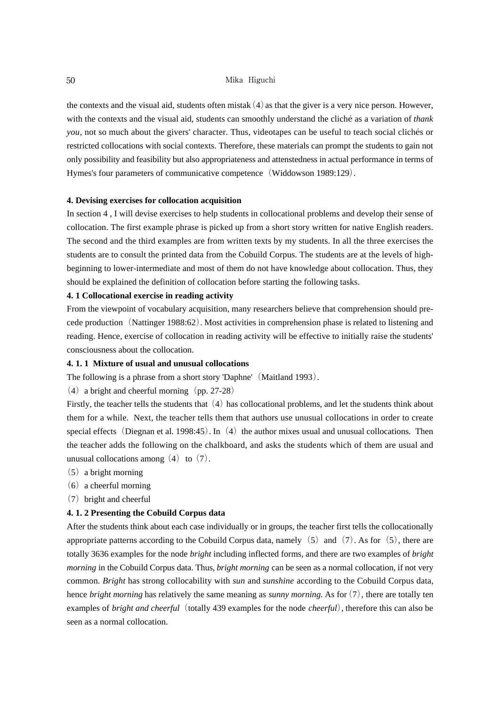### 50 Mika Higuchi

the contexts and the visual aid, students often mistak $(4)$  as that the giver is a very nice person. However, with the contexts and the visual aid, students can smoothly understand the cliché as a variation of *thank you*, not so much about the givers' character. Thus, videotapes can be useful to teach social clichés or restricted collocations with social contexts. Therefore, these materials can prompt the students to gain not only possibility and feasibility but also appropriateness and attenstedness in actual performance in terms of Hymes's four parameters of communicative competence (Widdowson 1989:129).

#### **4. Devising exercises for collocation acquisition**

In section 4 , I will devise exercises to help students in collocational problems and develop their sense of collocation. The first example phrase is picked up from a short story written for native English readers. The second and the third examples are from written texts by my students. In all the three exercises the students are to consult the printed data from the Cobuild Corpus. The students are at the levels of highbeginning to lower-intermediate and most of them do not have knowledge about collocation. Thus, they should be explained the definition of collocation before starting the following tasks.

### **4. 1 Collocational exercise in reading activity**

From the viewpoint of vocabulary acquisition, many researchers believe that comprehension should precede production(Nattinger 1988:62). Most activities in comprehension phase is related to listening and reading. Hence, exercise of collocation in reading activity will be effective to initially raise the students' consciousness about the collocation.

### **4. 1. 1 Mixture of usual and unusual collocations**

The following is a phrase from a short story 'Daphne' (Maitland 1993).

(4) a bright and cheerful morning (pp. 27-28)

Firstly, the teacher tells the students that  $(4)$  has collocational problems, and let the students think about them for a while. Next, the teacher tells them that authors use unusual collocations in order to create special effects (Diegnan et al. 1998:45). In  $(4)$  the author mixes usual and unusual collocations. Then the teacher adds the following on the chalkboard, and asks the students which of them are usual and unusual collocations among  $(4)$  to  $(7)$ .

- $(5)$  a bright morning
- $(6)$  a cheerful morning
- (7)bright and cheerful

### **4. 1. 2 Presenting the Cobuild Corpus data**

After the students think about each case individually or in groups, the teacher first tells the collocationally appropriate patterns according to the Cobuild Corpus data, namely  $(5)$  and  $(7)$ . As for  $(5)$ , there are totally 3636 examples for the node *bright* including inflected forms, and there are two examples of *bright morning* in the Cobuild Corpus data. Thus, *bright morning* can be seen as a normal collocation, if not very common. *Bright* has strong collocability with *sun* and *sunshine* according to the Cobuild Corpus data, hence *bright morning* has relatively the same meaning as *sunny morning*. As for(7), there are totally ten examples of *bright and cheerful* (totally 439 examples for the node *cheerful*), therefore this can also be seen as a normal collocation.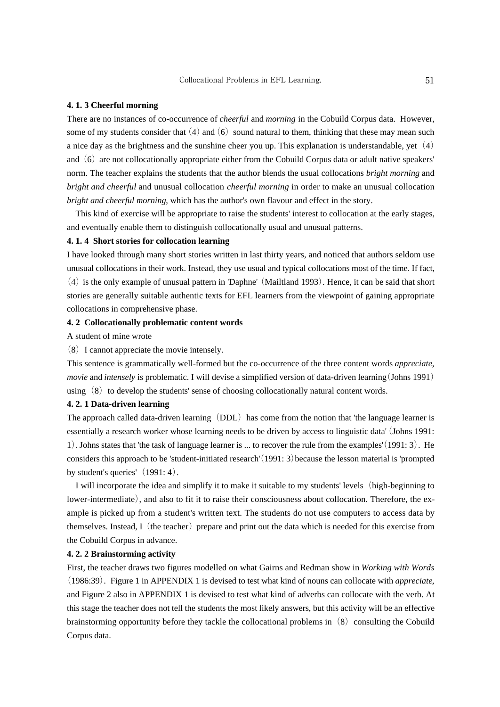#### **4. 1. 3 Cheerful morning**

There are no instances of co-occurrence of *cheerful* and *morning* in the Cobuild Corpus data. However, some of my students consider that  $(4)$  and  $(6)$  sound natural to them, thinking that these may mean such a nice day as the brightness and the sunshine cheer you up. This explanation is understandable, yet  $(4)$ and  $(6)$  are not collocationally appropriate either from the Cobuild Corpus data or adult native speakers' norm. The teacher explains the students that the author blends the usual collocations *bright morning* and *bright and cheerful* and unusual collocation *cheerful morning* in order to make an unusual collocation *bright and cheerful morning*, which has the author's own flavour and effect in the story.

This kind of exercise will be appropriate to raise the students' interest to collocation at the early stages, and eventually enable them to distinguish collocationally usual and unusual patterns.

### **4. 1. 4 Short stories for collocation learning**

I have looked through many short stories written in last thirty years, and noticed that authors seldom use unusual collocations in their work. Instead, they use usual and typical collocations most of the time. If fact,  $(4)$  is the only example of unusual pattern in 'Daphne' (Mailtland 1993). Hence, it can be said that short stories are generally suitable authentic texts for EFL learners from the viewpoint of gaining appropriate collocations in comprehensive phase.

### **4. 2 Collocationally problematic content words**

A student of mine wrote

(8)I cannot appreciate the movie intensely.

This sentence is grammatically well-formed but the co-occurrence of the three content words *appreciate*, *movie* and *intensely* is problematic. I will devise a simplified version of data-driven learning(Johns 1991) using  $(8)$  to develop the students' sense of choosing collocationally natural content words.

#### **4. 2. 1 Data-driven learning**

The approach called data-driven learning (DDL) has come from the notion that 'the language learner is essentially a research worker whose learning needs to be driven by access to linguistic data'(Johns 1991: 1). Johns states that 'the task of language learner is ... to recover the rule from the examples'(1991: 3). He considers this approach to be 'student-initiated research'  $(1991: 3)$  because the lesson material is 'prompted by student's queries'  $(1991: 4)$ .

I will incorporate the idea and simplify it to make it suitable to my students' levels(high-beginning to lower-intermediate), and also to fit it to raise their consciousness about collocation. Therefore, the example is picked up from a student's written text. The students do not use computers to access data by themselves. Instead,  $I$  (the teacher) prepare and print out the data which is needed for this exercise from the Cobuild Corpus in advance.

### **4. 2. 2 Brainstorming activity**

First, the teacher draws two figures modelled on what Gairns and Redman show in *Working with Words* (1986:39). Figure 1 in APPENDIX 1 is devised to test what kind of nouns can collocate with *appreciate*, and Figure 2 also in APPENDIX 1 is devised to test what kind of adverbs can collocate with the verb. At this stage the teacher does not tell the students the most likely answers, but this activity will be an effective brainstorming opportunity before they tackle the collocational problems in  $(8)$  consulting the Cobuild Corpus data.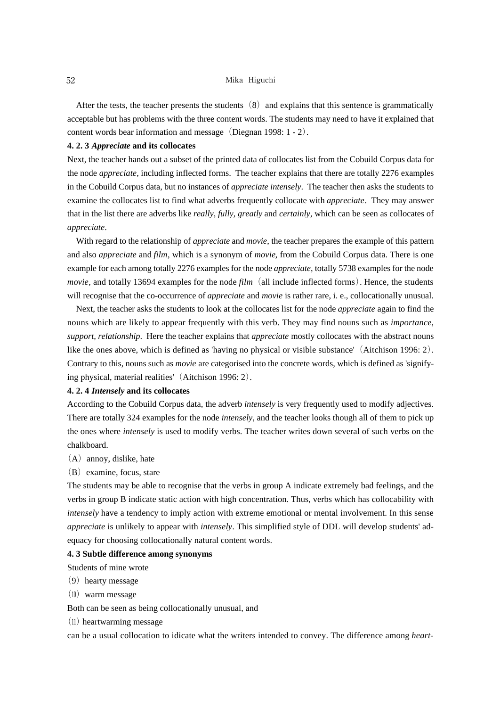#### 52 Mika Higuchi

After the tests, the teacher presents the students  $(8)$  and explains that this sentence is grammatically acceptable but has problems with the three content words. The students may need to have it explained that content words bear information and message (Diegnan 1998:  $1 - 2$ ).

#### **4. 2. 3** *Appreciate* **and its collocates**

Next, the teacher hands out a subset of the printed data of collocates list from the Cobuild Corpus data for the node *appreciate*, including inflected forms. The teacher explains that there are totally 2276 examples in the Cobuild Corpus data, but no instances of *appreciate intensely*. The teacher then asks the students to examine the collocates list to find what adverbs frequently collocate with *appreciate*. They may answer that in the list there are adverbs like *really, fully, greatly* and *certainly*, which can be seen as collocates of *appreciate*.

With regard to the relationship of *appreciate* and *movie*, the teacher prepares the example of this pattern and also *appreciate* and *film*, which is a synonym of *movie*, from the Cobuild Corpus data. There is one example for each among totally 2276 examples for the node *appreciate*, totally 5738 examples for the node *movie*, and totally 13694 examples for the node *film* (all include inflected forms). Hence, the students will recognise that the co-occurrence of *appreciate* and *movie* is rather rare, i. e., collocationally unusual.

Next, the teacher asks the students to look at the collocates list for the node *appreciate* again to find the nouns which are likely to appear frequently with this verb. They may find nouns such as *importance*, *support, relationship*. Here the teacher explains that *appreciate* mostly collocates with the abstract nouns like the ones above, which is defined as 'having no physical or visible substance'(Aitchison 1996: 2). Contrary to this, nouns such as *movie* are categorised into the concrete words, which is defined as 'signifying physical, material realities'(Aitchison 1996: 2).

#### **4. 2. 4** *Intensely* **and its collocates**

According to the Cobuild Corpus data, the adverb *intensely* is very frequently used to modify adjectives. There are totally 324 examples for the node *intensely*, and the teacher looks though all of them to pick up the ones where *intensely* is used to modify verbs. The teacher writes down several of such verbs on the chalkboard.

- $(A)$  annoy, dislike, hate
- $(B)$  examine, focus, stare

The students may be able to recognise that the verbs in group A indicate extremely bad feelings, and the verbs in group B indicate static action with high concentration. Thus, verbs which has collocability with *intensely* have a tendency to imply action with extreme emotional or mental involvement. In this sense *appreciate* is unlikely to appear with *intensely*. This simplified style of DDL will develop students' adequacy for choosing collocationally natural content words.

### **4. 3 Subtle difference among synonyms**

Students of mine wrote

- $(9)$  hearty message
- $(10)$  warm message

Both can be seen as being collocationally unusual, and

(11) heartwarming message

can be a usual collocation to idicate what the writers intended to convey. The difference among *heart-*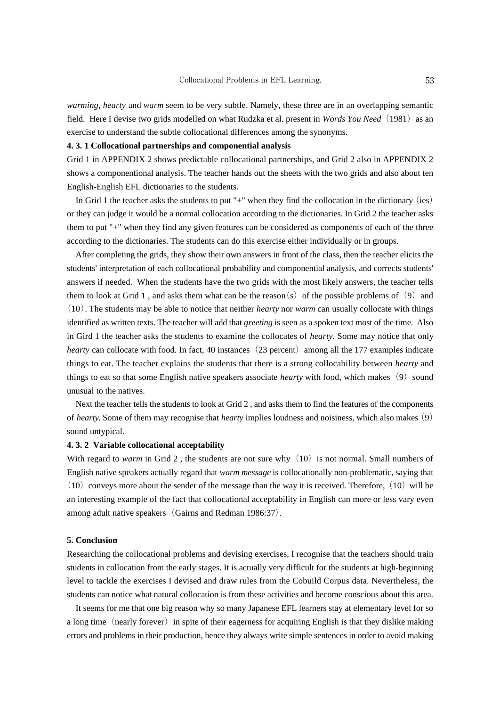*warming, hearty* and *warm* seem to be very subtle. Namely, these three are in an overlapping semantic field. Here I devise two grids modelled on what Rudzka et al. present in *Words You Need* (1981) as an exercise to understand the subtle collocational differences among the synonyms.

### **4. 3. 1 Collocational partnerships and componential analysis**

Grid 1 in APPENDIX 2 shows predictable collocational partnerships, and Grid 2 also in APPENDIX 2 shows a componentional analysis. The teacher hands out the sheets with the two grids and also about ten English-English EFL dictionaries to the students.

In Grid 1 the teacher asks the students to put "+" when they find the collocation in the dictionary (ies) or they can judge it would be a normal collocation according to the dictionaries. In Grid 2 the teacher asks them to put "+" when they find any given features can be considered as components of each of the three according to the dictionaries. The students can do this exercise either individually or in groups.

After completing the grids, they show their own answers in front of the class, then the teacher elicits the students' interpretation of each collocational probability and componential analysis, and corrects students' answers if needed. When the students have the two grids with the most likely answers, the teacher tells them to look at Grid 1, and asks them what can be the reason(s) of the possible problems of (9) and (10). The students may be able to notice that neither *hearty* nor *warm* can usually collocate with things identified as written texts. The teacher will add that *greeting* is seen as a spoken text most of the time. Also in Gird 1 the teacher asks the students to examine the collocates of *hearty*. Some may notice that only *hearty* can collocate with food. In fact, 40 instances (23 percent) among all the 177 examples indicate things to eat. The teacher explains the students that there is a strong collocability between *hearty* and things to eat so that some English native speakers associate *hearty* with food, which makes  $(9)$  sound unusual to the natives.

Next the teacher tells the students to look at Grid 2 , and asks them to find the features of the components of *hearty*. Some of them may recognise that *hearty* implies loudness and noisiness, which also makes (9) sound untypical.

#### **4. 3. 2 Variable collocational acceptability**

With regard to *warm* in Grid 2, the students are not sure why  $(10)$  is not normal. Small numbers of English native speakers actually regard that *warm message* is collocationally non-problematic, saying that  $(10)$  conveys more about the sender of the message than the way it is received. Therefore,  $(10)$  will be an interesting example of the fact that collocational acceptability in English can more or less vary even among adult native speakers (Gairns and Redman 1986:37).

#### **5. Conclusion**

Researching the collocational problems and devising exercises, I recognise that the teachers should train students in collocation from the early stages. It is actually very difficult for the students at high-beginning level to tackle the exercises I devised and draw rules from the Cobuild Corpus data. Nevertheless, the students can notice what natural collocation is from these activities and become conscious about this area.

It seems for me that one big reason why so many Japanese EFL learners stay at elementary level for so a long time (nearly forever) in spite of their eagerness for acquiring English is that they dislike making errors and problems in their production, hence they always write simple sentences in order to avoid making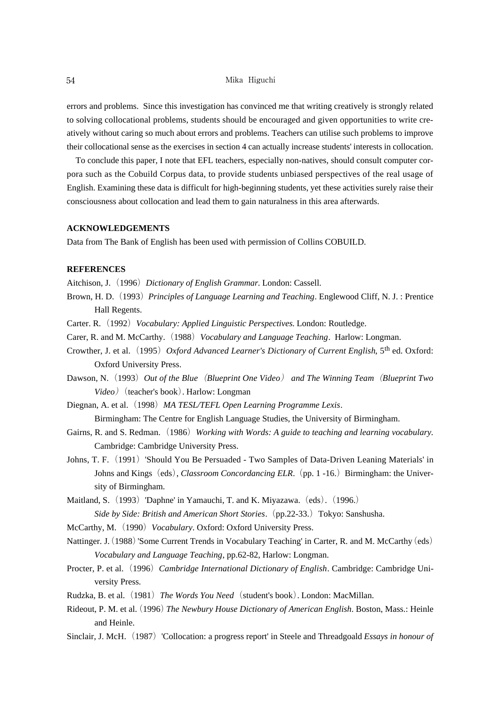errors and problems. Since this investigation has convinced me that writing creatively is strongly related to solving collocational problems, students should be encouraged and given opportunities to write creatively without caring so much about errors and problems. Teachers can utilise such problems to improve their collocational sense as the exercises in section 4 can actually increase students' interests in collocation.

To conclude this paper, I note that EFL teachers, especially non-natives, should consult computer corpora such as the Cobuild Corpus data, to provide students unbiased perspectives of the real usage of English. Examining these data is difficult for high-beginning students, yet these activities surely raise their consciousness about collocation and lead them to gain naturalness in this area afterwards.

#### **ACKNOWLEDGEMENTS**

Data from The Bank of English has been used with permission of Collins COBUILD.

### **REFERENCES**

Aitchison, J. (1996) *Dictionary of English Grammar*. London: Cassell.

- Brown, H. D.(1993)*Principles of Language Learning and Teaching*. Englewood Cliff, N. J. : Prentice Hall Regents.
- Carter. R.(1992)*Vocabulary: Applied Linguistic Perspectives*. London: Routledge.
- Carer, R. and M. McCarthy.(1988)*Vocabulary and Language Teaching*. Harlow: Longman.
- Crowther, J. et al. (1995) Oxford Advanced Learner's Dictionary of Current English, 5<sup>th</sup> ed. Oxford: Oxford University Press.
- Dawson, N.(1993)*Out of the Blue*(*Blueprint One Video*) *and The Winning Team*(*Blueprint Two Video*) (teacher's book). Harlow: Longman
- Diegnan, A. et al.(1998)*MA TESL/TEFL Open Learning Programme Lexis*. Birmingham: The Centre for English Language Studies, the University of Birmingham.
- Gairns, R. and S. Redman.(1986)*Working with Words: A guide to teaching and learning vocabulary*. Cambridge: Cambridge University Press.
- Johns, T. F. (1991) 'Should You Be Persuaded Two Samples of Data-Driven Leaning Materials' in Johns and Kings (eds), *Classroom Concordancing ELR*. (pp. 1-16.) Birmingham: the University of Birmingham.

Maitland, S. (1993) 'Daphne' in Yamauchi, T. and K. Miyazawa. (eds). (1996.) *Side by Side: British and American Short Stories*. (pp.22-33.) Tokyo: Sanshusha.

- McCarthy, M.(1990)*Vocabulary*. Oxford: Oxford University Press.
- Nattinger. J. (1988) 'Some Current Trends in Vocabulary Teaching' in Carter, R. and M. McCarthy (eds) *Vocabulary and Language Teaching*, pp.62-82, Harlow: Longman.
- Procter, P. et al.(1996)*Cambridge International Dictionary of English*. Cambridge: Cambridge University Press.
- Rudzka, B. et al.(1981)*The Words You Need*(student's book). London: MacMillan.
- Rideout, P. M. et al.(1996)*The Newbury House Dictionary of American English*. Boston, Mass.: Heinle and Heinle.
- Sinclair, J. McH.(1987)'Collocation: a progress report' in Steele and Threadgoald *Essays in honour of*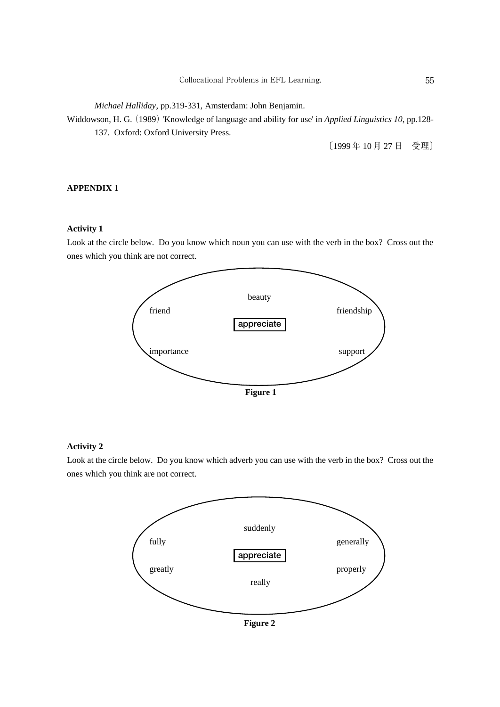*Michael Halliday*, pp.319-331, Amsterdam: John Benjamin.

Widdowson, H. G. (1989) 'Knowledge of language and ability for use' in *Applied Linguistics 10*, pp.128- 137. Oxford: Oxford University Press.

〔1999 年 10 月 27 日 受理〕

### **APPENDIX 1**

### **Activity 1**

Look at the circle below. Do you know which noun you can use with the verb in the box? Cross out the ones which you think are not correct.



### **Activity 2**

Look at the circle below. Do you know which adverb you can use with the verb in the box? Cross out the ones which you think are not correct.